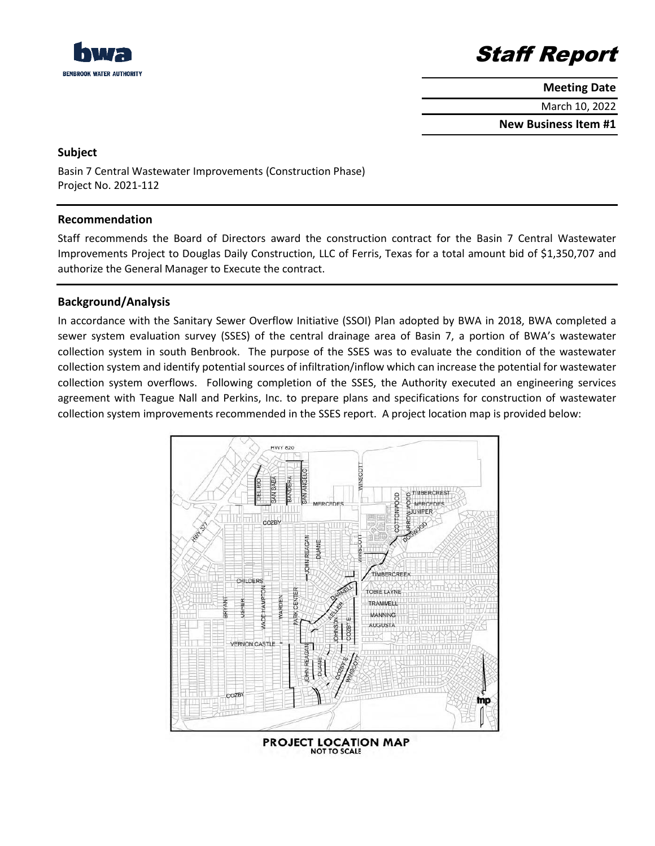

# Staff Report

**Meeting Date**

March 10, 2022

**New Business Item #1**

### **Subject**

Basin 7 Central Wastewater Improvements (Construction Phase) Project No. 2021-112

## **Recommendation**

Staff recommends the Board of Directors award the construction contract for the Basin 7 Central Wastewater Improvements Project to Douglas Daily Construction, LLC of Ferris, Texas for a total amount bid of \$1,350,707 and authorize the General Manager to Execute the contract.

## **Background/Analysis**

In accordance with the Sanitary Sewer Overflow Initiative (SSOI) Plan adopted by BWA in 2018, BWA completed a sewer system evaluation survey (SSES) of the central drainage area of Basin 7, a portion of BWA's wastewater collection system in south Benbrook. The purpose of the SSES was to evaluate the condition of the wastewater collection system and identify potential sources of infiltration/inflow which can increase the potential for wastewater collection system overflows. Following completion of the SSES, the Authority executed an engineering services agreement with Teague Nall and Perkins, Inc. to prepare plans and specifications for construction of wastewater collection system improvements recommended in the SSES report. A project location map is provided below: